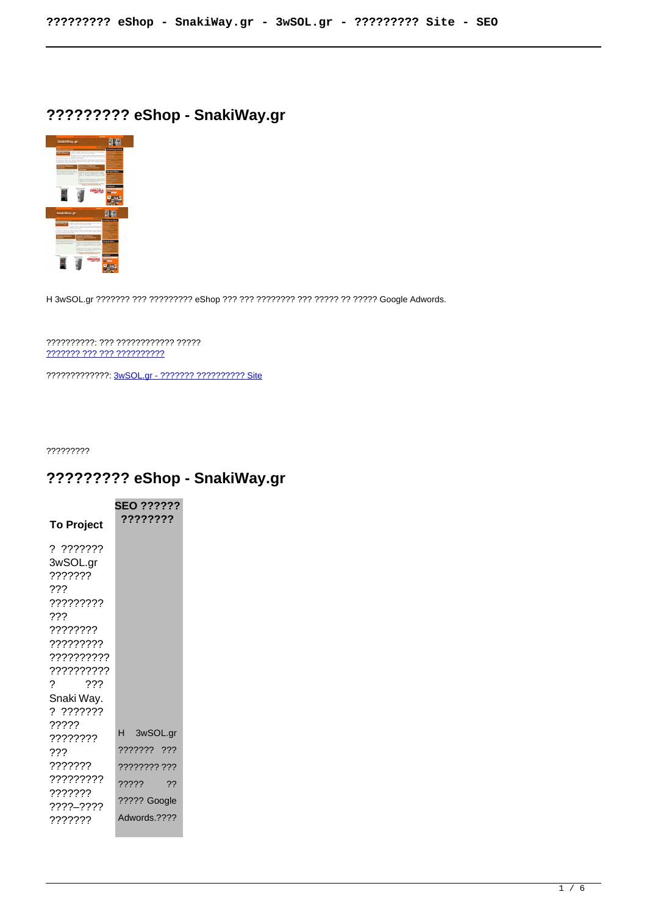## ????????? eShop - SnakiWay.gr



H 3wSOL.gr ??????? ??? ????????? eShop ??? ??? ???????? ??? ????? ?? ????? Google Adwords.

## 

????????????? 3wSOL.gr - ??????? ?????????? Site

?????????

## ????????? eShop - SnakiWay.gr

|                       | <b>SEO</b> ?????? |
|-----------------------|-------------------|
| <b>To Project</b>     | ????????          |
| ? ???????             |                   |
| 3wSOL.gr              |                   |
| ???????               |                   |
| ???                   |                   |
| ?????????             |                   |
| ???                   |                   |
| ????????              |                   |
| ?????????             |                   |
| ??????????            |                   |
| ??????????            |                   |
| $\overline{?}$<br>??? |                   |
| Snaki Way.            |                   |
| ? ???????             |                   |
| ?????                 | H 3wSOL.gr        |
| ????????              |                   |
| ???                   | ??????? ???       |
| ???????               | 77777777 777      |
| ?????????             | ?????<br>??       |
| ???????               | ????? Google      |
| ????-????             |                   |
| ???????               | Adwords.????      |
|                       |                   |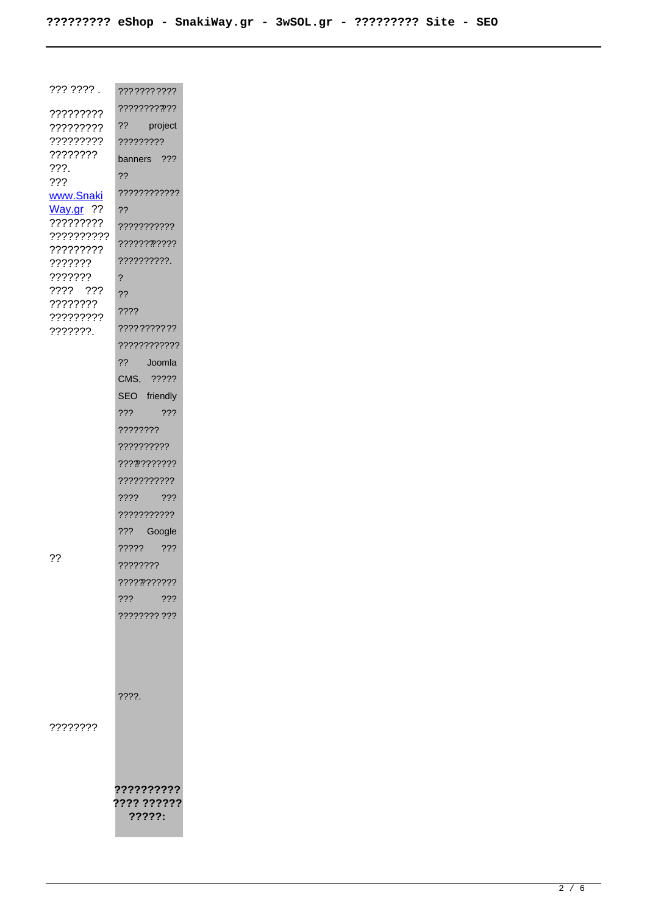| ??? ???? .             | ???????????                                                                    |
|------------------------|--------------------------------------------------------------------------------|
| ?????????              | ????????????                                                                   |
| ?????????              | ??<br>project                                                                  |
| ?????????              | ?????????                                                                      |
| ????????               | banners ???                                                                    |
| ???.                   | ??                                                                             |
| ???                    | ????????????                                                                   |
| www.Snaki<br>Way.gr ?? | ??                                                                             |
| ?????????              |                                                                                |
| ??????????             | ???????????                                                                    |
| ?????????              | ????????????                                                                   |
| ???????                | ??????????.                                                                    |
| ???????                | ?                                                                              |
| ???? ???<br>????????   | ??                                                                             |
| ?????????              | ????                                                                           |
| ???????.               | ???????????                                                                    |
|                        | ????????????                                                                   |
|                        | ?? Joomla                                                                      |
|                        | CMS, ?????                                                                     |
|                        | SEO friendly                                                                   |
|                        | ???<br>???                                                                     |
|                        | ????????                                                                       |
|                        | ??????????                                                                     |
|                        | ???????????                                                                    |
|                        | ???????????                                                                    |
|                        | ????<br>???                                                                    |
|                        | ???????????                                                                    |
|                        | ???<br>Google                                                                  |
|                        | $??\,\!\begin{array}{cc}\n??\,\!\begin{array}{cc}\n??\end{array}\n\end{array}$ |
| ??                     | ????????                                                                       |
|                        | ???????????                                                                    |
|                        |                                                                                |
|                        | ???<br>???                                                                     |
|                        | ???????? ???                                                                   |
|                        |                                                                                |
|                        |                                                                                |
|                        |                                                                                |
|                        |                                                                                |
|                        | $??\,?\,$                                                                      |
|                        |                                                                                |
| ????????               |                                                                                |
|                        |                                                                                |
|                        |                                                                                |
|                        | ??????????                                                                     |
|                        | ???? ??????                                                                    |
|                        | ?????:                                                                         |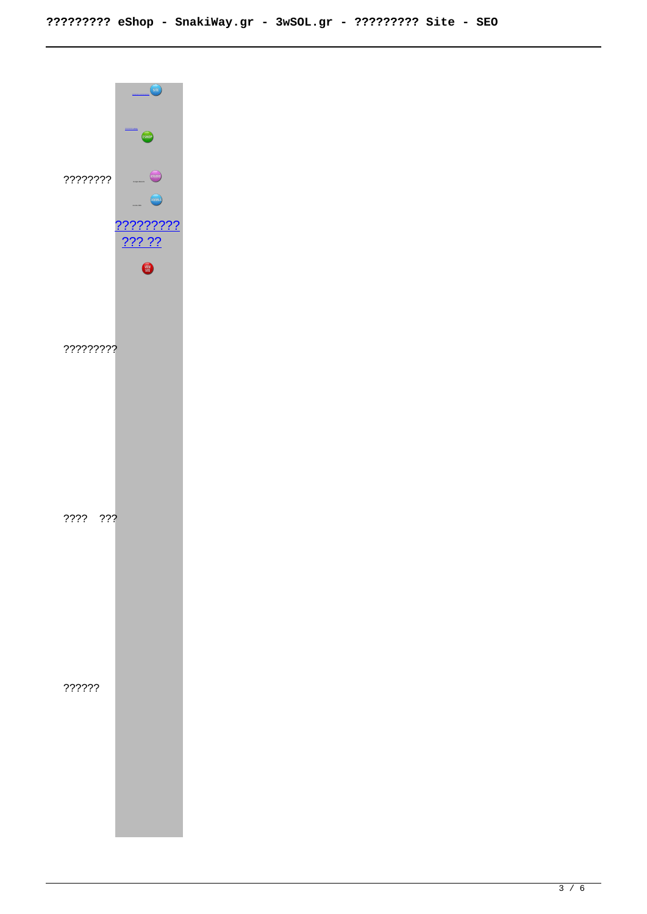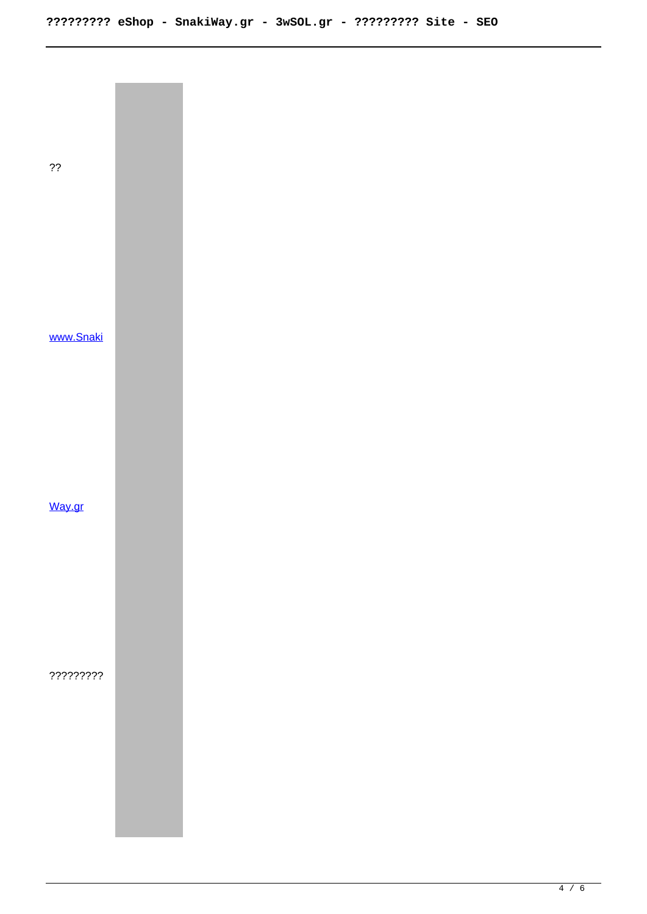?? [www.Snaki](http://SnakiWay.gr) [Way.gr](http://SnakiWay.gr) ?????? ???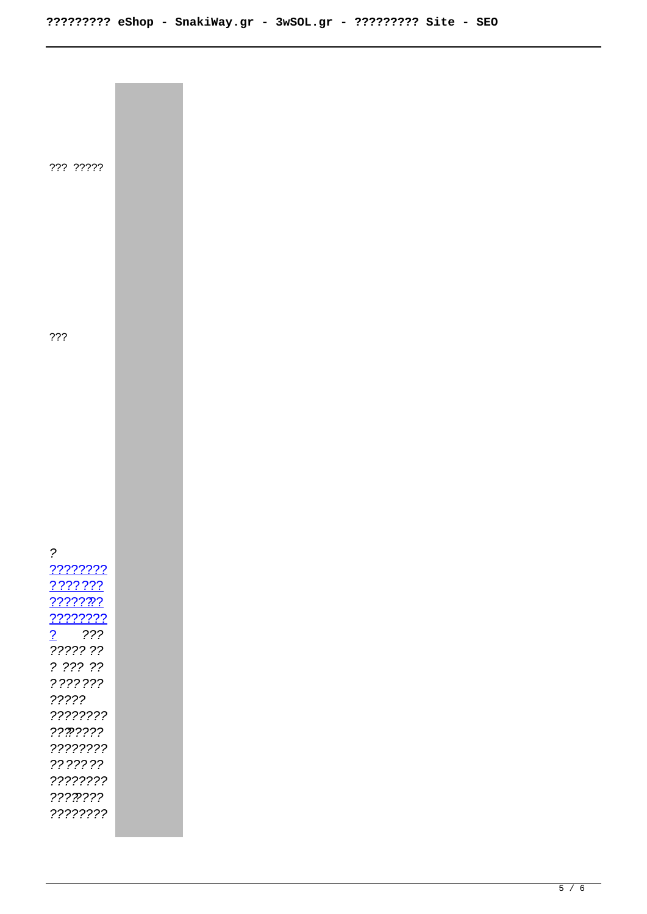